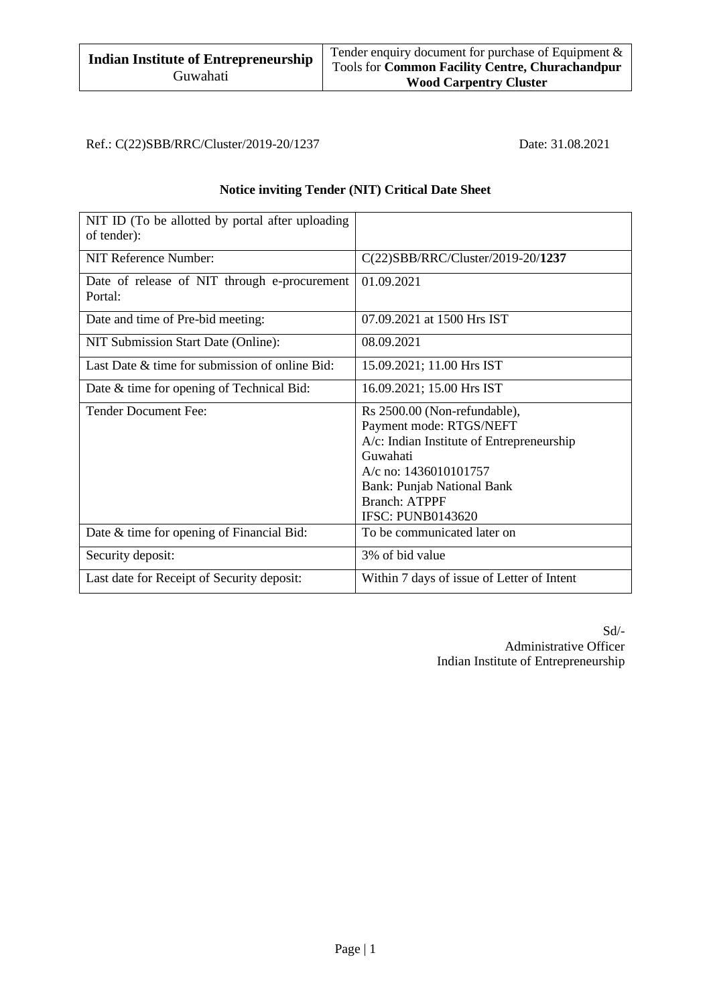Ref.: C(22)SBB/RRC/Cluster/2019-20/1237 Date: 31.08.2021

### **Notice inviting Tender (NIT) Critical Date Sheet**

| NIT ID (To be allotted by portal after uploading<br>of tender): |                                                                                                                                                                                                                                    |
|-----------------------------------------------------------------|------------------------------------------------------------------------------------------------------------------------------------------------------------------------------------------------------------------------------------|
| NIT Reference Number:                                           | $C(22)SBB/RRC/Cluster/2019-20/1237$                                                                                                                                                                                                |
| Date of release of NIT through e-procurement<br>Portal:         | 01.09.2021                                                                                                                                                                                                                         |
| Date and time of Pre-bid meeting:                               | 07.09.2021 at 1500 Hrs IST                                                                                                                                                                                                         |
| NIT Submission Start Date (Online):                             | 08.09.2021                                                                                                                                                                                                                         |
| Last Date & time for submission of online Bid:                  | 15.09.2021; 11.00 Hrs IST                                                                                                                                                                                                          |
| Date & time for opening of Technical Bid:                       | 16.09.2021; 15.00 Hrs IST                                                                                                                                                                                                          |
| <b>Tender Document Fee:</b>                                     | Rs 2500.00 (Non-refundable),<br>Payment mode: RTGS/NEFT<br>A/c: Indian Institute of Entrepreneurship<br>Guwahati<br>A/c no: 1436010101757<br><b>Bank: Punjab National Bank</b><br><b>Branch: ATPPF</b><br><b>IFSC: PUNB0143620</b> |
| Date & time for opening of Financial Bid:                       | To be communicated later on                                                                                                                                                                                                        |
| Security deposit:                                               | 3% of bid value                                                                                                                                                                                                                    |
| Last date for Receipt of Security deposit:                      | Within 7 days of issue of Letter of Intent                                                                                                                                                                                         |

Sd/- Administrative Officer Indian Institute of Entrepreneurship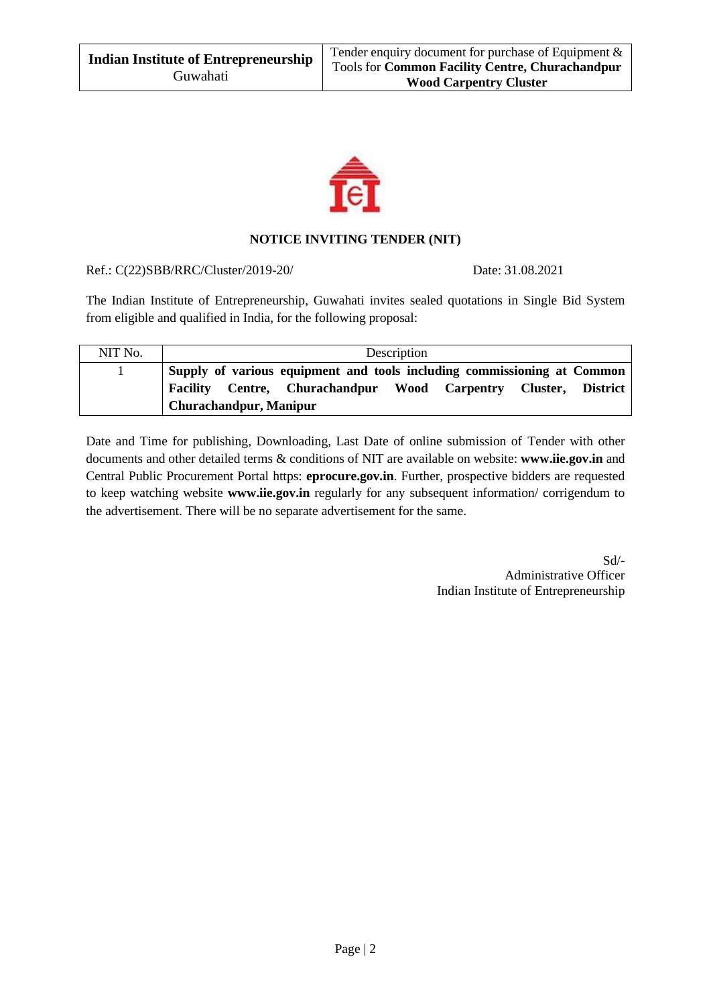

#### **NOTICE INVITING TENDER (NIT)**

Ref.: C(22)SBB/RRC/Cluster/2019-20/ Date: 31.08.2021

The Indian Institute of Entrepreneurship, Guwahati invites sealed quotations in Single Bid System from eligible and qualified in India, for the following proposal:

| NIT No. |                                                                                                                                                                             | Description |  |  |
|---------|-----------------------------------------------------------------------------------------------------------------------------------------------------------------------------|-------------|--|--|
|         | Supply of various equipment and tools including commissioning at Common<br>Facility Centre, Churachandpur Wood Carpentry Cluster, District<br><b>Churachandpur, Manipur</b> |             |  |  |

Date and Time for publishing, Downloading, Last Date of online submission of Tender with other documents and other detailed terms & conditions of NIT are available on website: **[www.iie.gov.in](http://www.iie.gov.in/)** and Central Public Procurement Portal https: **eprocure.gov.in**. Further, prospective bidders are requested to keep watching website **[www.iie.gov.in](http://www.iie.gov.in/)** regularly for any subsequent information/ corrigendum to the advertisement. There will be no separate advertisement for the same.

> Sd/- Administrative Officer Indian Institute of Entrepreneurship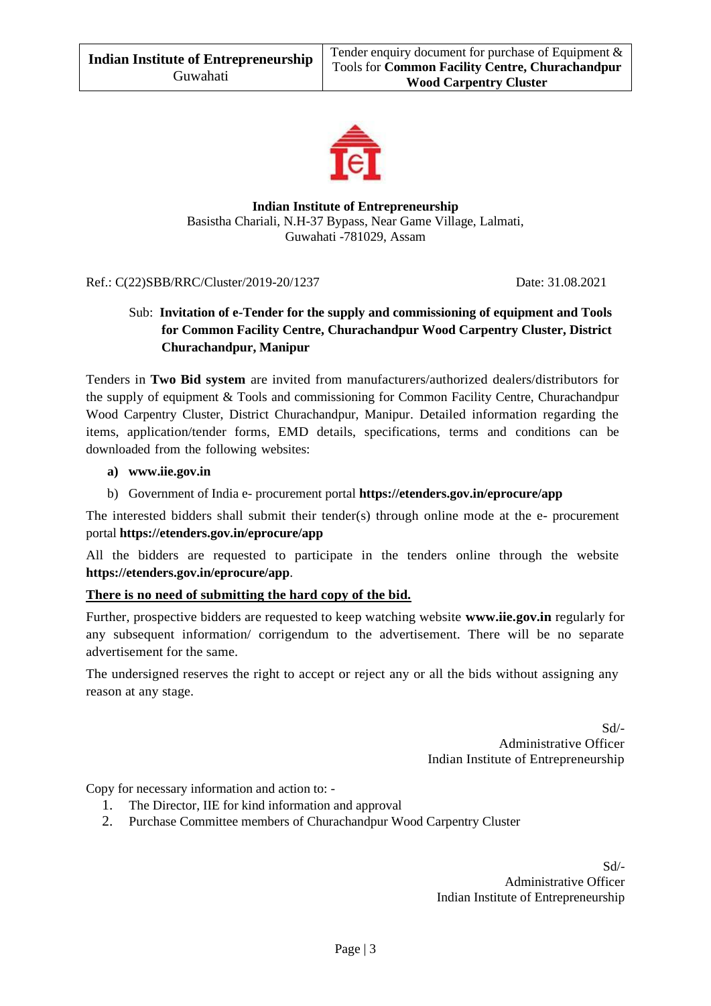

**Indian Institute of Entrepreneurship** Basistha Chariali, N.H-37 Bypass, Near Game Village, Lalmati, Guwahati -781029, Assam

Ref.: C(22)SBB/RRC/Cluster/2019-20/1237 Date: 31.08.2021

# Sub: **Invitation of e-Tender for the supply and commissioning of equipment and Tools for Common Facility Centre, Churachandpur Wood Carpentry Cluster, District Churachandpur, Manipur**

Tenders in **Two Bid system** are invited from manufacturers/authorized dealers/distributors for the supply of equipment & Tools and commissioning for Common Facility Centre, Churachandpur Wood Carpentry Cluster, District Churachandpur, Manipur. Detailed information regarding the items, application/tender forms, EMD details, specifications, terms and conditions can be downloaded from the following websites:

#### **a) [www.iie.gov.in](http://www.iie.gov.in/)**

b) Government of India e- procurement portal **https://etenders.gov.in/eprocure/app**

The interested bidders shall submit their tender(s) through online mode at the e- procurement portal **https://etenders.gov.in/eprocure/app**

All the bidders are requested to participate in the tenders online through the website **<https://etenders.gov.in/eprocure/app>**.

#### **There is no need of submitting the hard copy of the bid.**

Further, prospective bidders are requested to keep watching website **www.iie.gov.in** regularly for any subsequent information/ corrigendum to the advertisement. There will be no separate advertisement for the same.

The undersigned reserves the right to accept or reject any or all the bids without assigning any reason at any stage.

> Sd/- Administrative Officer Indian Institute of Entrepreneurship

Copy for necessary information and action to: -

- 1. The Director, IIE for kind information and approval
- 2. Purchase Committee members of Churachandpur Wood Carpentry Cluster

Sd/- Administrative Officer Indian Institute of Entrepreneurship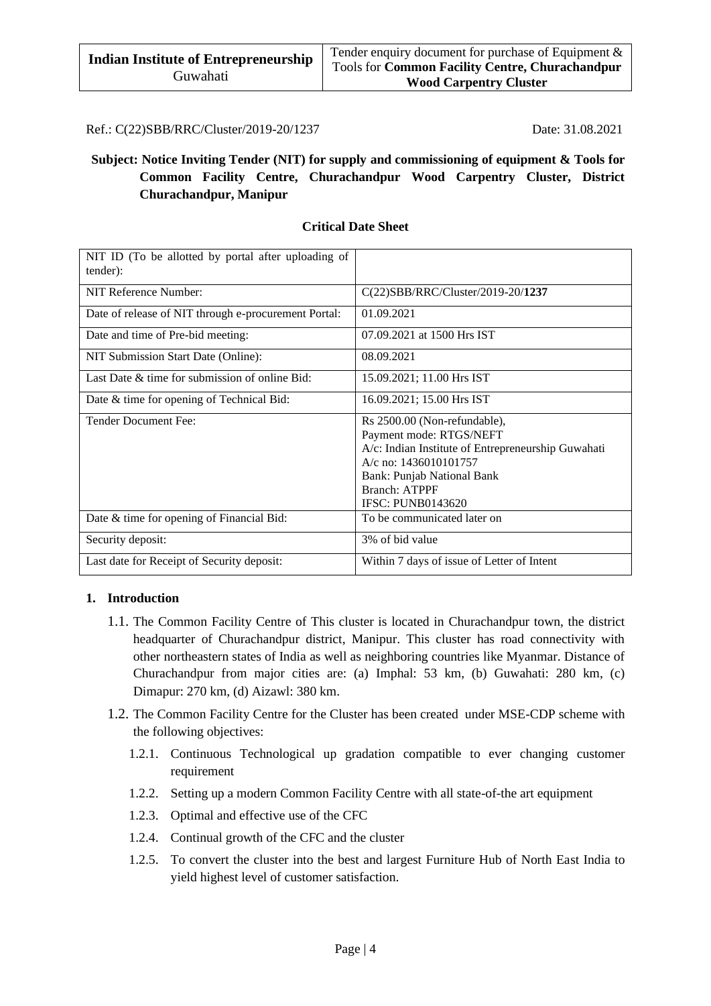Ref.: C(22)SBB/RRC/Cluster/2019-20/1237 Date: 31.08.2021

## **Subject: Notice Inviting Tender (NIT) for supply and commissioning of equipment & Tools for Common Facility Centre, Churachandpur Wood Carpentry Cluster, District Churachandpur, Manipur**

| NIT ID (To be allotted by portal after uploading of<br>tender): |                                                                                                                                                                                                                          |
|-----------------------------------------------------------------|--------------------------------------------------------------------------------------------------------------------------------------------------------------------------------------------------------------------------|
| NIT Reference Number:                                           | C(22)SBB/RRC/Cluster/2019-20/1237                                                                                                                                                                                        |
| Date of release of NIT through e-procurement Portal:            | 01.09.2021                                                                                                                                                                                                               |
| Date and time of Pre-bid meeting:                               | 07.09.2021 at 1500 Hrs IST                                                                                                                                                                                               |
| NIT Submission Start Date (Online):                             | 08.09.2021                                                                                                                                                                                                               |
| Last Date & time for submission of online Bid:                  | 15.09.2021; 11.00 Hrs IST                                                                                                                                                                                                |
| Date & time for opening of Technical Bid:                       | 16.09.2021; 15.00 Hrs IST                                                                                                                                                                                                |
| <b>Tender Document Fee:</b>                                     | Rs 2500.00 (Non-refundable),<br>Payment mode: RTGS/NEFT<br>A/c: Indian Institute of Entrepreneurship Guwahati<br>A/c no: 1436010101757<br>Bank: Punjab National Bank<br><b>Branch: ATPPF</b><br><b>IFSC: PUNB0143620</b> |
| Date & time for opening of Financial Bid:                       | To be communicated later on                                                                                                                                                                                              |
| Security deposit:                                               | 3% of bid value                                                                                                                                                                                                          |
| Last date for Receipt of Security deposit:                      | Within 7 days of issue of Letter of Intent                                                                                                                                                                               |

# **Critical Date Sheet**

#### **1. Introduction**

- 1.1. The Common Facility Centre of This cluster is located in Churachandpur town, the district headquarter of Churachandpur district, Manipur. This cluster has road connectivity with other northeastern states of India as well as neighboring countries like Myanmar. Distance of Churachandpur from major cities are: (a) Imphal: 53 km, (b) Guwahati: 280 km, (c) Dimapur: 270 km, (d) Aizawl: 380 km.
- 1.2. The Common Facility Centre for the Cluster has been created under MSE-CDP scheme with the following objectives:
	- 1.2.1. Continuous Technological up gradation compatible to ever changing customer requirement
	- 1.2.2. Setting up a modern Common Facility Centre with all state-of-the art equipment
	- 1.2.3. Optimal and effective use of the CFC
	- 1.2.4. Continual growth of the CFC and the cluster
	- 1.2.5. To convert the cluster into the best and largest Furniture Hub of North East India to yield highest level of customer satisfaction.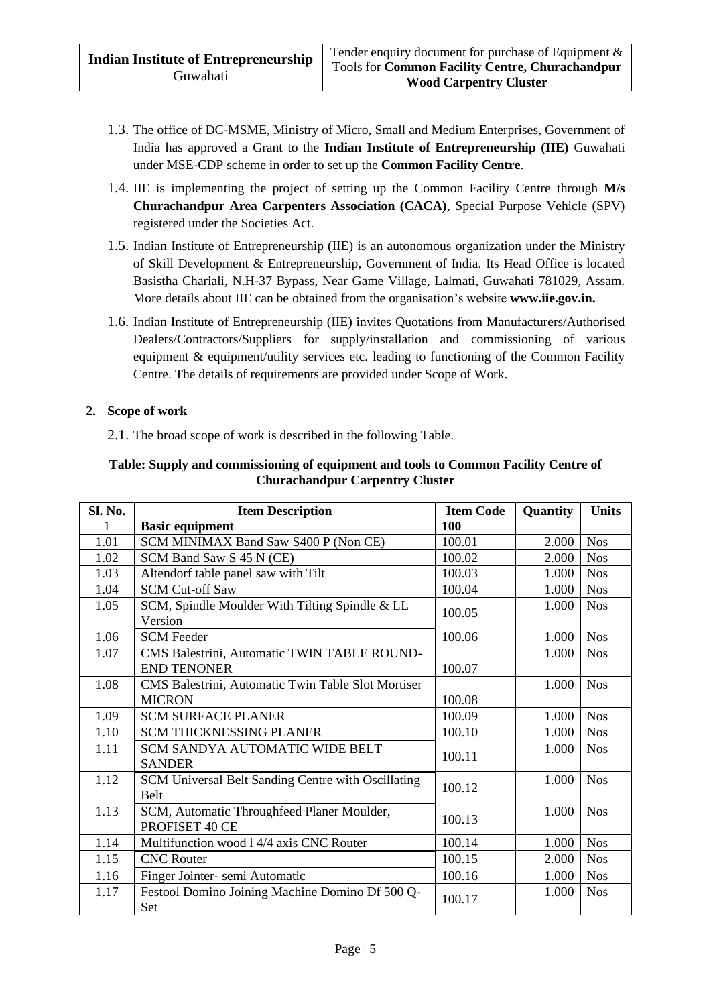- 1.3. The office of DC-MSME, Ministry of Micro, Small and Medium Enterprises, Government of India has approved a Grant to the **Indian Institute of Entrepreneurship (IIE)** Guwahati under MSE-CDP scheme in order to set up the **Common Facility Centre**.
- 1.4. IIE is implementing the project of setting up the Common Facility Centre through **M/s Churachandpur Area Carpenters Association (CACA)**, Special Purpose Vehicle (SPV) registered under the Societies Act.
- 1.5. Indian Institute of Entrepreneurship (IIE) is an autonomous organization under the Ministry of Skill Development & Entrepreneurship, Government of India. Its Head Office is located Basistha Chariali, N.H-37 Bypass, Near Game Village, Lalmati, Guwahati 781029, Assam. More details about IIE can be obtained from the organisation's website **[www.iie.gov.in.](http://www.iie.gov.in/)**
- 1.6. Indian Institute of Entrepreneurship (IIE) invites Quotations from Manufacturers/Authorised Dealers/Contractors/Suppliers for supply/installation and commissioning of various equipment & equipment/utility services etc. leading to functioning of the Common Facility Centre. The details of requirements are provided under Scope of Work.

#### **2. Scope of work**

2.1. The broad scope of work is described in the following Table.

#### **Table: Supply and commissioning of equipment and tools to Common Facility Centre of Churachandpur Carpentry Cluster**

| Sl. No. | <b>Item Description</b>                                      | <b>Item Code</b> | Quantity | <b>Units</b> |
|---------|--------------------------------------------------------------|------------------|----------|--------------|
|         | <b>Basic equipment</b>                                       | 100              |          |              |
| 1.01    | SCM MINIMAX Band Saw S400 P (Non CE)                         | 100.01           | 2.000    | <b>Nos</b>   |
| 1.02    | SCM Band Saw S 45 N (CE)                                     | 100.02           | 2.000    | <b>Nos</b>   |
| 1.03    | Altendorf table panel saw with Tilt                          | 100.03           | 1.000    | <b>Nos</b>   |
| 1.04    | <b>SCM Cut-off Saw</b>                                       | 100.04           | 1.000    | <b>Nos</b>   |
| 1.05    | SCM, Spindle Moulder With Tilting Spindle & LL<br>Version    | 100.05           | 1.000    | <b>Nos</b>   |
| 1.06    | <b>SCM</b> Feeder                                            | 100.06           | 1.000    | <b>Nos</b>   |
| 1.07    | CMS Balestrini, Automatic TWIN TABLE ROUND-                  |                  | 1.000    | <b>Nos</b>   |
|         | <b>END TENONER</b>                                           | 100.07           |          |              |
| 1.08    | CMS Balestrini, Automatic Twin Table Slot Mortiser           |                  | 1.000    | <b>Nos</b>   |
|         | <b>MICRON</b>                                                | 100.08           |          |              |
| 1.09    | <b>SCM SURFACE PLANER</b>                                    | 100.09           | 1.000    | <b>Nos</b>   |
| 1.10    | <b>SCM THICKNESSING PLANER</b>                               | 100.10           | 1.000    | <b>Nos</b>   |
| 1.11    | SCM SANDYA AUTOMATIC WIDE BELT<br><b>SANDER</b>              | 100.11           | 1.000    | <b>Nos</b>   |
| 1.12    | SCM Universal Belt Sanding Centre with Oscillating<br>Belt   | 100.12           | 1.000    | <b>Nos</b>   |
| 1.13    | SCM, Automatic Throughfeed Planer Moulder,<br>PROFISET 40 CE | 100.13           | 1.000    | <b>Nos</b>   |
| 1.14    | Multifunction wood 1 4/4 axis CNC Router                     | 100.14           | 1.000    | <b>Nos</b>   |
| 1.15    | <b>CNC Router</b>                                            | 100.15           | 2.000    | <b>Nos</b>   |
| 1.16    | Finger Jointer- semi Automatic                               | 100.16           | 1.000    | <b>Nos</b>   |
| 1.17    | Festool Domino Joining Machine Domino Df 500 Q-<br>Set       | 100.17           | 1.000    | <b>Nos</b>   |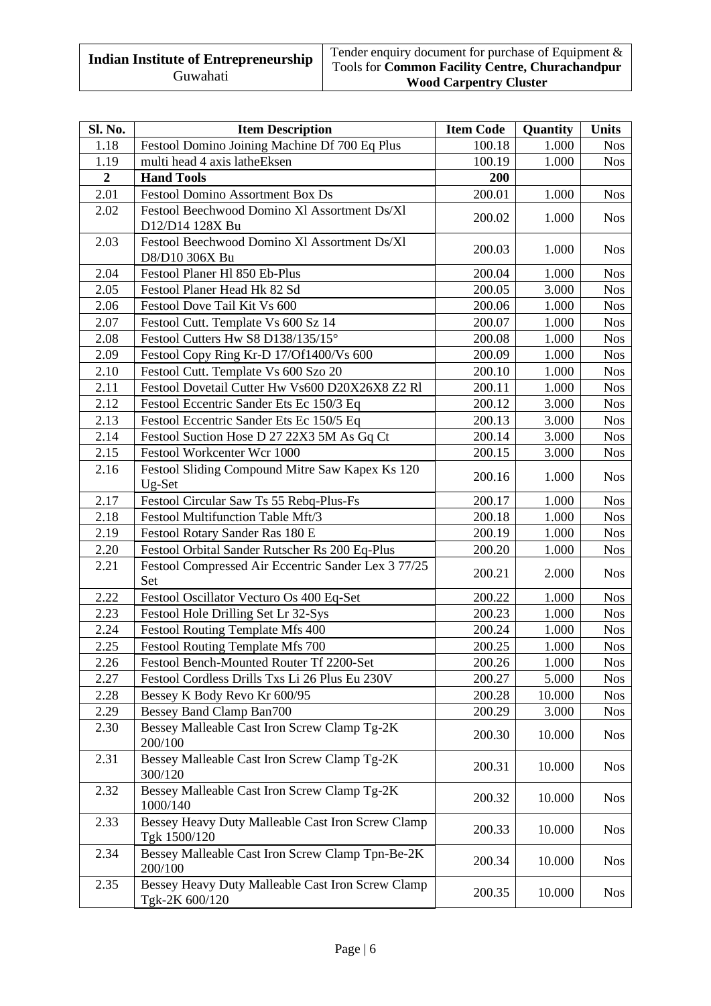| Sl. No.        | <b>Item Description</b>                                             | <b>Item Code</b> | Quantity | <b>Units</b> |
|----------------|---------------------------------------------------------------------|------------------|----------|--------------|
| 1.18           | Festool Domino Joining Machine Df 700 Eq Plus                       | 100.18           | 1.000    | <b>Nos</b>   |
| 1.19           | multi head 4 axis latheEksen                                        | 100.19           | 1.000    | <b>Nos</b>   |
| $\overline{2}$ | <b>Hand Tools</b>                                                   | 200              |          |              |
| 2.01           | Festool Domino Assortment Box Ds                                    | 200.01           | 1.000    | <b>Nos</b>   |
| 2.02           | Festool Beechwood Domino Xl Assortment Ds/Xl                        |                  |          |              |
|                | D12/D14 128X Bu                                                     | 200.02<br>1.000  |          | <b>Nos</b>   |
| 2.03           | Festool Beechwood Domino Xl Assortment Ds/Xl                        | 200.03           | 1.000    | <b>Nos</b>   |
|                | D8/D10 306X Bu                                                      |                  |          |              |
| 2.04           | Festool Planer H1 850 Eb-Plus                                       | 200.04           | 1.000    | <b>Nos</b>   |
| 2.05           | Festool Planer Head Hk 82 Sd                                        | 200.05           | 3.000    | <b>Nos</b>   |
| 2.06           | Festool Dove Tail Kit Vs 600                                        | 200.06           | 1.000    | <b>Nos</b>   |
| 2.07           | Festool Cutt. Template Vs 600 Sz 14                                 | 200.07           | 1.000    | <b>Nos</b>   |
| 2.08           | Festool Cutters Hw S8 D138/135/15°                                  | 200.08           | 1.000    | <b>Nos</b>   |
| 2.09           | Festool Copy Ring Kr-D 17/Of1400/Vs 600                             | 200.09           | 1.000    | <b>Nos</b>   |
| 2.10           | Festool Cutt. Template Vs 600 Szo 20                                | 200.10           | 1.000    | <b>Nos</b>   |
| 2.11           | Festool Dovetail Cutter Hw Vs600 D20X26X8 Z2 Rl                     | 200.11           | 1.000    | <b>Nos</b>   |
| 2.12           | Festool Eccentric Sander Ets Ec 150/3 Eq                            | 200.12           | 3.000    | <b>Nos</b>   |
| 2.13           | Festool Eccentric Sander Ets Ec 150/5 Eq                            | 200.13           | 3.000    | <b>Nos</b>   |
| 2.14           | Festool Suction Hose D 27 22X3 5M As Gq Ct                          | 200.14           | 3.000    | <b>Nos</b>   |
| 2.15           | Festool Workcenter Wcr 1000                                         | 200.15           | 3.000    | <b>Nos</b>   |
| 2.16           | Festool Sliding Compound Mitre Saw Kapex Ks 120                     | 200.16           | 1.000    | <b>Nos</b>   |
| 2.17           | Ug-Set<br>Festool Circular Saw Ts 55 Rebq-Plus-Fs                   | 200.17           | 1.000    | <b>Nos</b>   |
| 2.18           | Festool Multifunction Table Mft/3                                   | 200.18           | 1.000    | <b>Nos</b>   |
| 2.19           | Festool Rotary Sander Ras 180 E                                     | 200.19           | 1.000    | <b>Nos</b>   |
| 2.20           | Festool Orbital Sander Rutscher Rs 200 Eq-Plus                      | 200.20           | 1.000    | <b>Nos</b>   |
| 2.21           | Festool Compressed Air Eccentric Sander Lex 3 77/25                 |                  |          |              |
|                | Set                                                                 | 200.21           | 2.000    | <b>Nos</b>   |
| 2.22           | Festool Oscillator Vecturo Os 400 Eq-Set                            | 200.22           | 1.000    | <b>Nos</b>   |
| 2.23           | Festool Hole Drilling Set Lr 32-Sys                                 | 200.23           | 1.000    | <b>Nos</b>   |
| 2.24           | Festool Routing Template Mfs 400                                    | 200.24           | 1.000    | <b>Nos</b>   |
| 2.25           | Festool Routing Template Mfs 700                                    | 200.25           | 1.000    | <b>Nos</b>   |
| 2.26           | Festool Bench-Mounted Router Tf 2200-Set                            | 200.26           | 1.000    | <b>Nos</b>   |
| 2.27           | Festool Cordless Drills Txs Li 26 Plus Eu 230V                      | 200.27           | 5.000    | <b>Nos</b>   |
| 2.28           | Bessey K Body Revo Kr 600/95                                        | 200.28           | 10.000   | <b>Nos</b>   |
| 2.29           | Bessey Band Clamp Ban700                                            | 200.29           | 3.000    | <b>Nos</b>   |
| 2.30           | Bessey Malleable Cast Iron Screw Clamp Tg-2K<br>200/100             | 200.30           | 10.000   | <b>Nos</b>   |
| 2.31           | Bessey Malleable Cast Iron Screw Clamp Tg-2K<br>300/120             | 200.31           | 10.000   | <b>Nos</b>   |
| 2.32           | Bessey Malleable Cast Iron Screw Clamp Tg-2K<br>1000/140            | 200.32           | 10.000   | <b>Nos</b>   |
| 2.33           | Bessey Heavy Duty Malleable Cast Iron Screw Clamp<br>Tgk 1500/120   | 200.33           | 10.000   | <b>Nos</b>   |
| 2.34           | Bessey Malleable Cast Iron Screw Clamp Tpn-Be-2K<br>200/100         | 200.34           | 10.000   | <b>Nos</b>   |
| 2.35           | Bessey Heavy Duty Malleable Cast Iron Screw Clamp<br>Tgk-2K 600/120 | 200.35           | 10.000   | <b>Nos</b>   |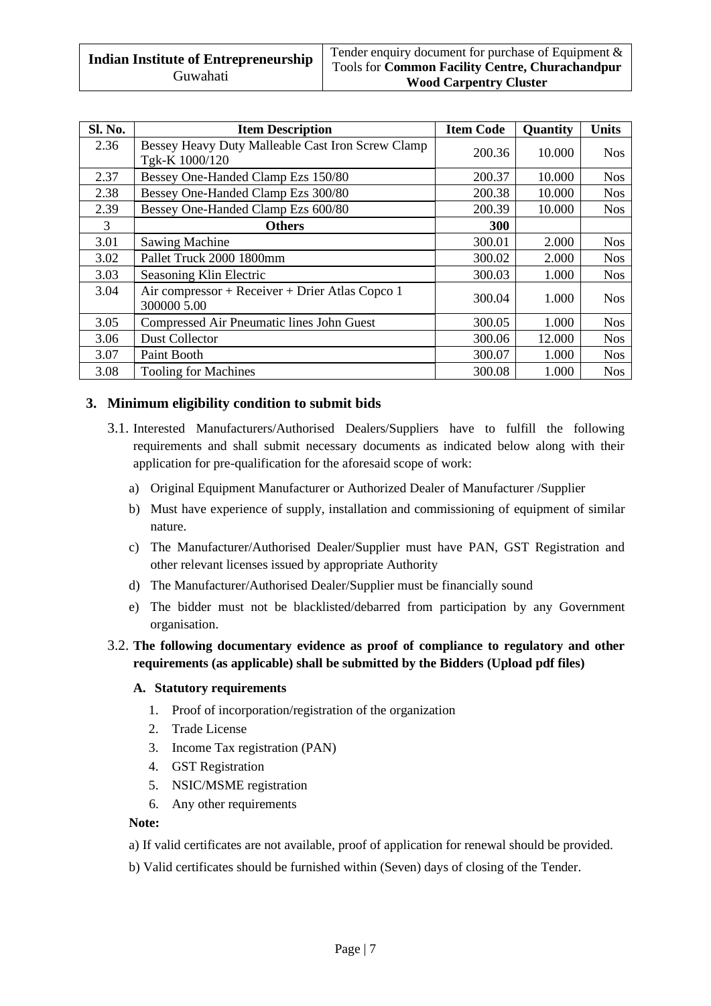| <b>Sl. No.</b> | <b>Item Description</b>                                             | <b>Item Code</b> | <b>Quantity</b> | <b>Units</b> |
|----------------|---------------------------------------------------------------------|------------------|-----------------|--------------|
| 2.36           | Bessey Heavy Duty Malleable Cast Iron Screw Clamp<br>Tgk-K 1000/120 | 200.36           | 10.000          | <b>Nos</b>   |
| 2.37           | Bessey One-Handed Clamp Ezs 150/80                                  | 200.37           | 10.000          | <b>Nos</b>   |
| 2.38           | Bessey One-Handed Clamp Ezs 300/80                                  | 200.38           | 10.000          | <b>Nos</b>   |
| 2.39           | Bessey One-Handed Clamp Ezs 600/80                                  | 200.39           | 10.000          | <b>Nos</b>   |
| 3              | <b>Others</b>                                                       | <b>300</b>       |                 |              |
| 3.01           | <b>Sawing Machine</b>                                               | 300.01           | 2.000           | <b>Nos</b>   |
| 3.02           | Pallet Truck 2000 1800mm                                            | 300.02           | 2.000           | <b>Nos</b>   |
| 3.03           | Seasoning Klin Electric                                             | 300.03           | 1.000           | <b>Nos</b>   |
| 3.04           | Air compressor + Receiver + Drier Atlas Copco 1<br>300000 5.00      | 300.04           | 1.000           | <b>Nos</b>   |
| 3.05           | Compressed Air Pneumatic lines John Guest                           | 300.05           | 1.000           | <b>Nos</b>   |
| 3.06           | Dust Collector                                                      | 300.06           | 12.000          | <b>Nos</b>   |
| 3.07           | Paint Booth                                                         | 300.07           | 1.000           | <b>Nos</b>   |
| 3.08           | <b>Tooling for Machines</b>                                         | 300.08           | 1.000           | <b>Nos</b>   |

## **3. Minimum eligibility condition to submit bids**

- 3.1. Interested Manufacturers/Authorised Dealers/Suppliers have to fulfill the following requirements and shall submit necessary documents as indicated below along with their application for pre-qualification for the aforesaid scope of work:
	- a) Original Equipment Manufacturer or Authorized Dealer of Manufacturer /Supplier
	- b) Must have experience of supply, installation and commissioning of equipment of similar nature.
	- c) The Manufacturer/Authorised Dealer/Supplier must have PAN, GST Registration and other relevant licenses issued by appropriate Authority
	- d) The Manufacturer/Authorised Dealer/Supplier must be financially sound
	- e) The bidder must not be blacklisted/debarred from participation by any Government organisation.

## 3.2. **The following documentary evidence as proof of compliance to regulatory and other requirements (as applicable) shall be submitted by the Bidders (Upload pdf files)**

#### **A. Statutory requirements**

- 1. Proof of incorporation/registration of the organization
- 2. Trade License
- 3. Income Tax registration (PAN)
- 4. GST Registration
- 5. NSIC/MSME registration
- 6. Any other requirements

#### **Note:**

- a) If valid certificates are not available, proof of application for renewal should be provided.
- b) Valid certificates should be furnished within (Seven) days of closing of the Tender.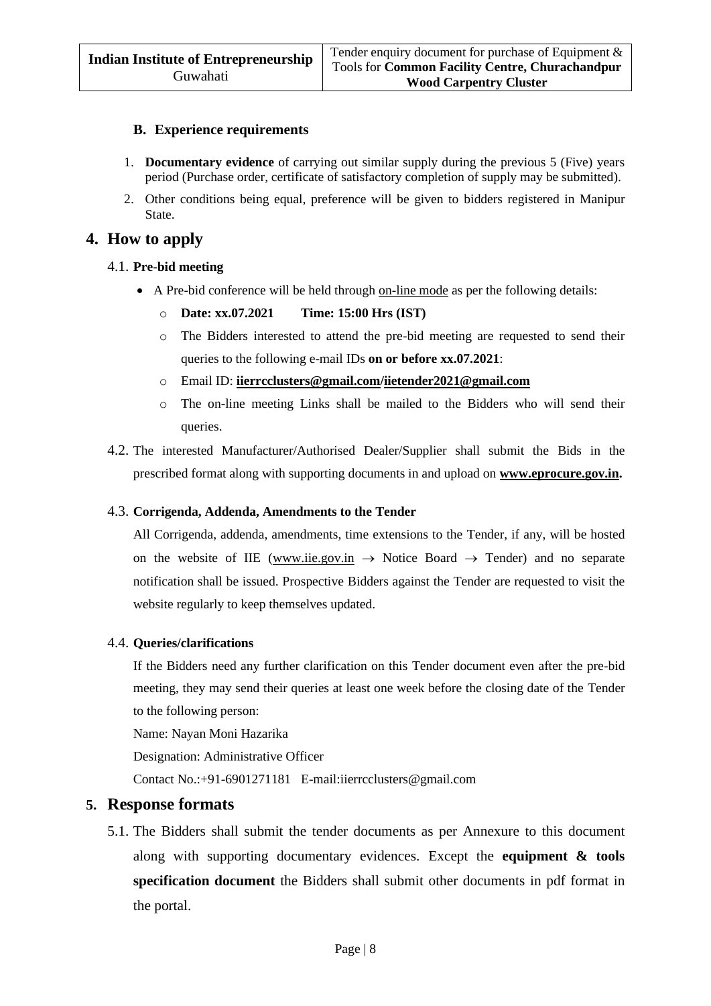#### **B. Experience requirements**

- 1. **Documentary evidence** of carrying out similar supply during the previous 5 (Five) years period (Purchase order, certificate of satisfactory completion of supply may be submitted).
- 2. Other conditions being equal, preference will be given to bidders registered in Manipur State.

# **4. How to apply**

#### 4.1. **Pre-bid meeting**

- A Pre-bid conference will be held through on-line mode as per the following details:
	- o **Date: xx.07.2021 Time: 15:00 Hrs (IST)**
	- o The Bidders interested to attend the pre-bid meeting are requested to send their queries to the following e-mail IDs **on or before xx.07.2021**:
	- o Email ID: **[iierrcclusters@gmail.com/](mailto:IIERRCCLUSTERS@GMAIL.COM)iietender2021@gmail.com**
	- o The on-line meeting Links shall be mailed to the Bidders who will send their queries.
- 4.2. The interested Manufacturer/Authorised Dealer/Supplier shall submit the Bids in the prescribed format along with supporting documents in and upload on **[www.eprocure.gov.in.](http://www.eprocure.gov.in/)**

#### 4.3. **Corrigenda, Addenda, Amendments to the Tender**

All Corrigenda, addenda, amendments, time extensions to the Tender, if any, will be hosted on the website of IIE [\(www.iie.gov.in](http://www.iie.gov.in/)  $\rightarrow$  Notice Board  $\rightarrow$  Tender) and no separate notification shall be issued. Prospective Bidders against the Tender are requested to visit the website regularly to keep themselves updated.

#### 4.4. **Queries/clarifications**

If the Bidders need any further clarification on this Tender document even after the pre-bid meeting, they may send their queries at least one week before the closing date of the Tender to the following person:

Name: Nayan Moni Hazarika

Designation: Administrative Officer

Contact No.:+91-6901271181 E-mail:iierrcclusters@gmail.com

## **5. Response formats**

5.1. The Bidders shall submit the tender documents as per Annexure to this document along with supporting documentary evidences. Except the **equipment & tools specification document** the Bidders shall submit other documents in pdf format in the portal.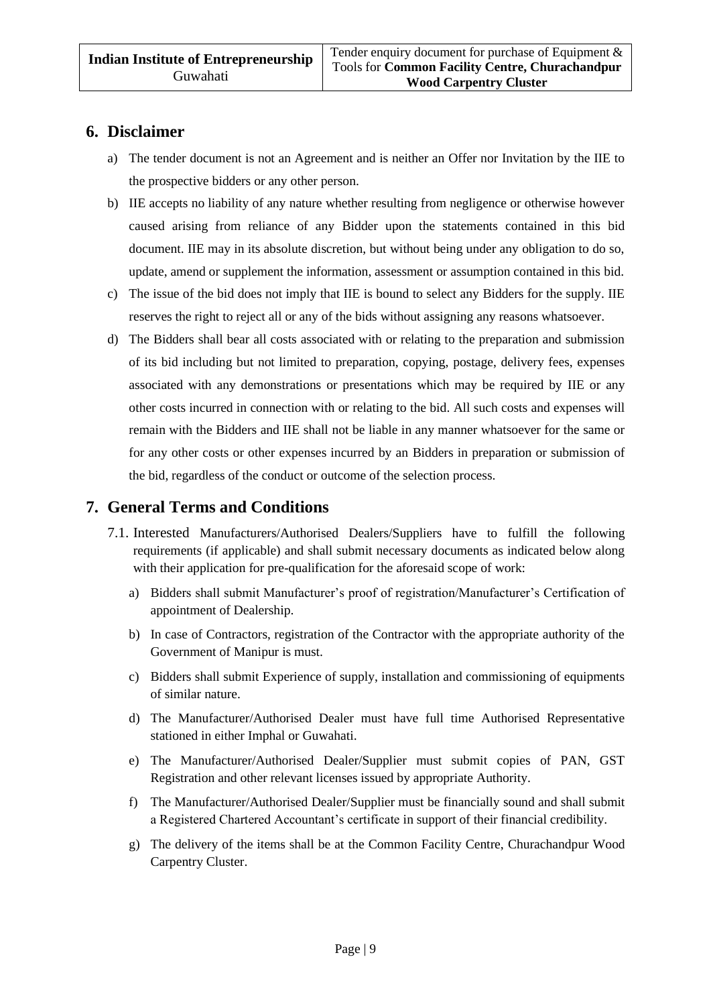# **6. Disclaimer**

- a) The tender document is not an Agreement and is neither an Offer nor Invitation by the IIE to the prospective bidders or any other person.
- b) IIE accepts no liability of any nature whether resulting from negligence or otherwise however caused arising from reliance of any Bidder upon the statements contained in this bid document. IIE may in its absolute discretion, but without being under any obligation to do so, update, amend or supplement the information, assessment or assumption contained in this bid.
- c) The issue of the bid does not imply that IIE is bound to select any Bidders for the supply. IIE reserves the right to reject all or any of the bids without assigning any reasons whatsoever.
- d) The Bidders shall bear all costs associated with or relating to the preparation and submission of its bid including but not limited to preparation, copying, postage, delivery fees, expenses associated with any demonstrations or presentations which may be required by IIE or any other costs incurred in connection with or relating to the bid. All such costs and expenses will remain with the Bidders and IIE shall not be liable in any manner whatsoever for the same or for any other costs or other expenses incurred by an Bidders in preparation or submission of the bid, regardless of the conduct or outcome of the selection process.

# **7. General Terms and Conditions**

- 7.1. Interested Manufacturers/Authorised Dealers/Suppliers have to fulfill the following requirements (if applicable) and shall submit necessary documents as indicated below along with their application for pre-qualification for the aforesaid scope of work:
	- a) Bidders shall submit Manufacturer's proof of registration/Manufacturer's Certification of appointment of Dealership.
	- b) In case of Contractors, registration of the Contractor with the appropriate authority of the Government of Manipur is must.
	- c) Bidders shall submit Experience of supply, installation and commissioning of equipments of similar nature.
	- d) The Manufacturer/Authorised Dealer must have full time Authorised Representative stationed in either Imphal or Guwahati.
	- e) The Manufacturer/Authorised Dealer/Supplier must submit copies of PAN, GST Registration and other relevant licenses issued by appropriate Authority.
	- f) The Manufacturer/Authorised Dealer/Supplier must be financially sound and shall submit a Registered Chartered Accountant's certificate in support of their financial credibility.
	- g) The delivery of the items shall be at the Common Facility Centre, Churachandpur Wood Carpentry Cluster.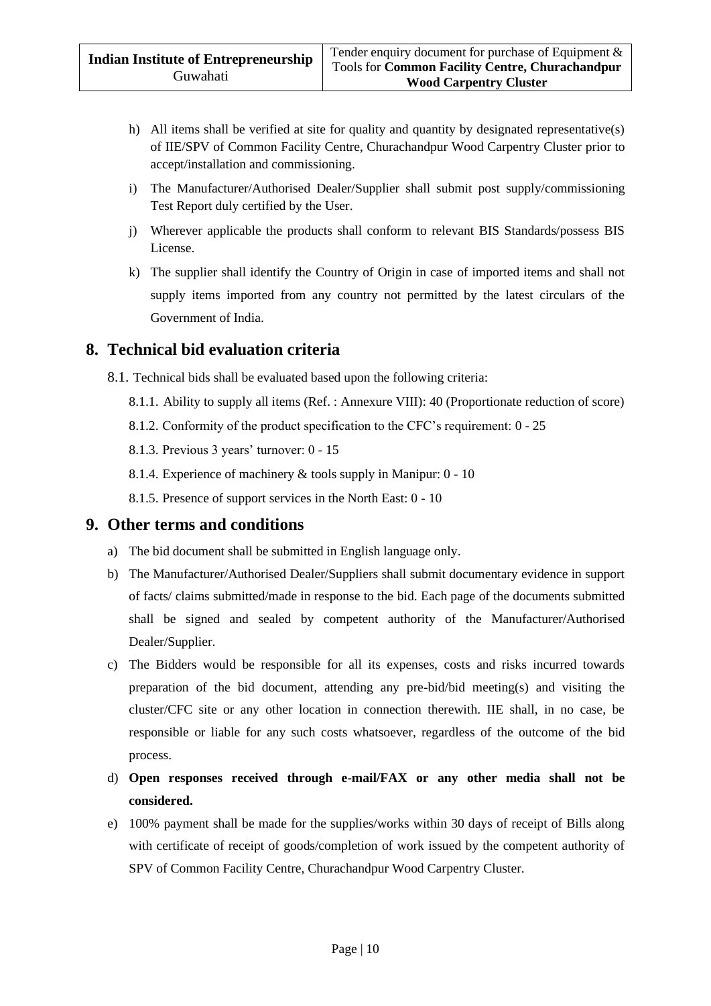- h) All items shall be verified at site for quality and quantity by designated representative(s) of IIE/SPV of Common Facility Centre, Churachandpur Wood Carpentry Cluster prior to accept/installation and commissioning.
- i) The Manufacturer/Authorised Dealer/Supplier shall submit post supply/commissioning Test Report duly certified by the User.
- j) Wherever applicable the products shall conform to relevant BIS Standards/possess BIS License.
- k) The supplier shall identify the Country of Origin in case of imported items and shall not supply items imported from any country not permitted by the latest circulars of the Government of India.

# **8. Technical bid evaluation criteria**

8.1. Technical bids shall be evaluated based upon the following criteria:

- 8.1.1. Ability to supply all items (Ref. : Annexure VIII): 40 (Proportionate reduction of score)
- 8.1.2. Conformity of the product specification to the CFC's requirement: 0 25
- 8.1.3. Previous 3 years' turnover: 0 15
- 8.1.4. Experience of machinery & tools supply in Manipur: 0 10
- 8.1.5. Presence of support services in the North East: 0 10

# **9. Other terms and conditions**

- a) The bid document shall be submitted in English language only.
- b) The Manufacturer/Authorised Dealer/Suppliers shall submit documentary evidence in support of facts/ claims submitted/made in response to the bid. Each page of the documents submitted shall be signed and sealed by competent authority of the Manufacturer/Authorised Dealer/Supplier.
- c) The Bidders would be responsible for all its expenses, costs and risks incurred towards preparation of the bid document, attending any pre-bid/bid meeting(s) and visiting the cluster/CFC site or any other location in connection therewith. IIE shall, in no case, be responsible or liable for any such costs whatsoever, regardless of the outcome of the bid process.
- d) **Open responses received through e-mail/FAX or any other media shall not be considered.**
- e) 100% payment shall be made for the supplies/works within 30 days of receipt of Bills along with certificate of receipt of goods/completion of work issued by the competent authority of SPV of Common Facility Centre, Churachandpur Wood Carpentry Cluster.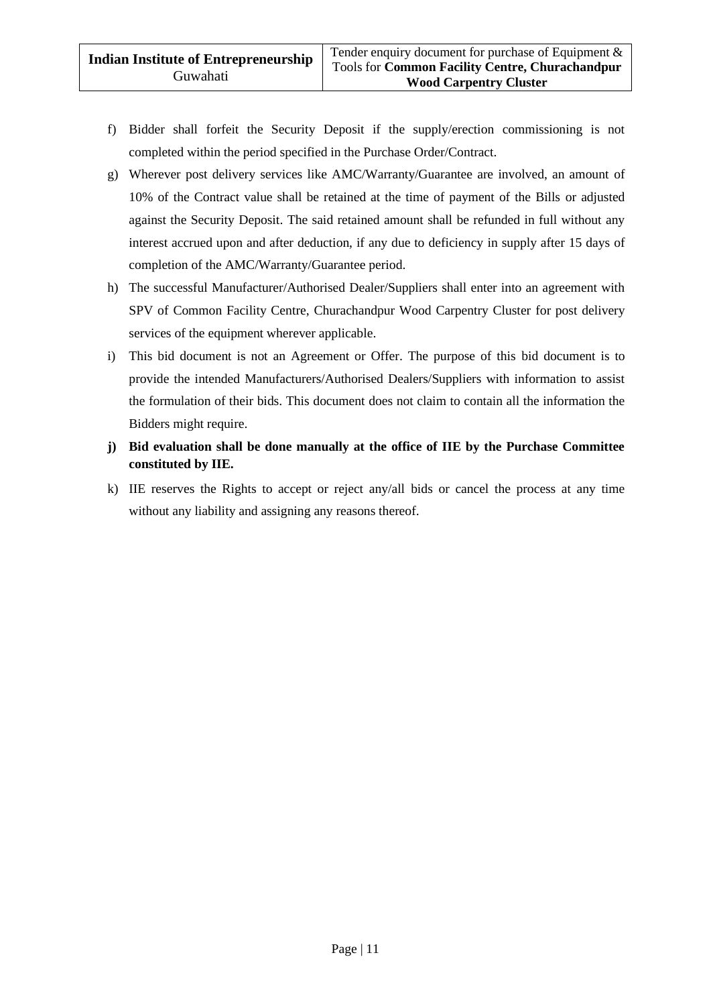- f) Bidder shall forfeit the Security Deposit if the supply/erection commissioning is not completed within the period specified in the Purchase Order/Contract.
- g) Wherever post delivery services like AMC/Warranty/Guarantee are involved, an amount of 10% of the Contract value shall be retained at the time of payment of the Bills or adjusted against the Security Deposit. The said retained amount shall be refunded in full without any interest accrued upon and after deduction, if any due to deficiency in supply after 15 days of completion of the AMC/Warranty/Guarantee period.
- h) The successful Manufacturer/Authorised Dealer/Suppliers shall enter into an agreement with SPV of Common Facility Centre, Churachandpur Wood Carpentry Cluster for post delivery services of the equipment wherever applicable.
- i) This bid document is not an Agreement or Offer. The purpose of this bid document is to provide the intended Manufacturers/Authorised Dealers/Suppliers with information to assist the formulation of their bids. This document does not claim to contain all the information the Bidders might require.
- **j) Bid evaluation shall be done manually at the office of IIE by the Purchase Committee constituted by IIE.**
- k) IIE reserves the Rights to accept or reject any/all bids or cancel the process at any time without any liability and assigning any reasons thereof.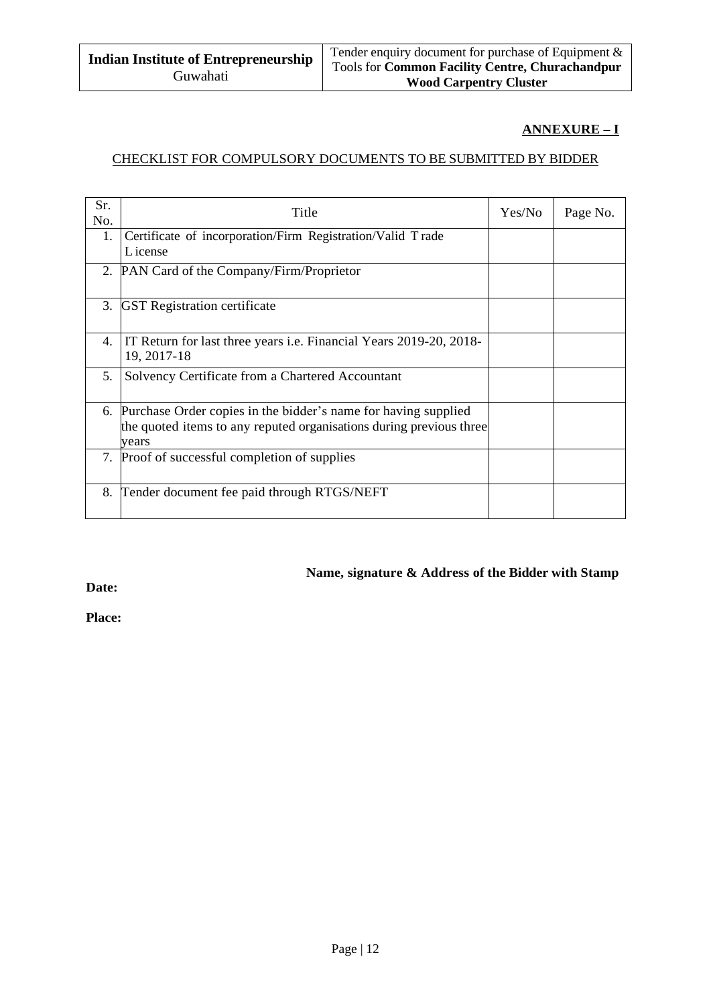## **ANNEXURE – I**

#### CHECKLIST FOR COMPULSORY DOCUMENTS TO BE SUBMITTED BY BIDDER

| Sr.<br>No. | Title                                                                                                                                          | Yes/No | Page No. |
|------------|------------------------------------------------------------------------------------------------------------------------------------------------|--------|----------|
| 1.         | Certificate of incorporation/Firm Registration/Valid Trade<br>L icense                                                                         |        |          |
| 2.         | PAN Card of the Company/Firm/Proprietor                                                                                                        |        |          |
| 3.         | <b>GST</b> Registration certificate                                                                                                            |        |          |
| 4.         | IT Return for last three years <i>i.e.</i> Financial Years 2019-20, 2018-<br>19, 2017-18                                                       |        |          |
| 5.         | Solvency Certificate from a Chartered Accountant                                                                                               |        |          |
| 6.         | Purchase Order copies in the bidder's name for having supplied<br>the quoted items to any reputed organisations during previous three<br>vears |        |          |
|            | 7. Proof of successful completion of supplies                                                                                                  |        |          |
| 8.         | Tender document fee paid through RTGS/NEFT                                                                                                     |        |          |

#### **Name, signature & Address of the Bidder with Stamp**

**Date:**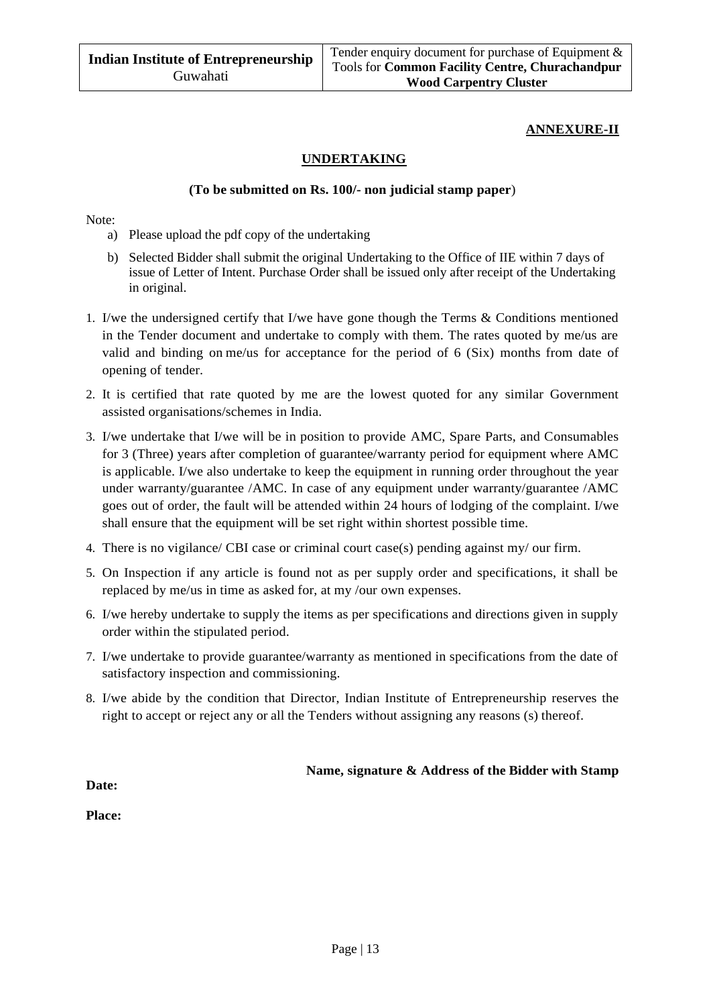#### **ANNEXURE-II**

#### **UNDERTAKING**

#### **(To be submitted on Rs. 100/- non judicial stamp paper**)

Note:

- a) Please upload the pdf copy of the undertaking
- b) Selected Bidder shall submit the original Undertaking to the Office of IIE within 7 days of issue of Letter of Intent. Purchase Order shall be issued only after receipt of the Undertaking in original.
- 1. I/we the undersigned certify that I/we have gone though the Terms & Conditions mentioned in the Tender document and undertake to comply with them. The rates quoted by me/us are valid and binding on me/us for acceptance for the period of 6 (Six) months from date of opening of tender.
- 2. It is certified that rate quoted by me are the lowest quoted for any similar Government assisted organisations/schemes in India.
- 3. I/we undertake that I/we will be in position to provide AMC, Spare Parts, and Consumables for 3 (Three) years after completion of guarantee/warranty period for equipment where AMC is applicable. I/we also undertake to keep the equipment in running order throughout the year under warranty/guarantee /AMC. In case of any equipment under warranty/guarantee /AMC goes out of order, the fault will be attended within 24 hours of lodging of the complaint. I/we shall ensure that the equipment will be set right within shortest possible time.
- 4. There is no vigilance/ CBI case or criminal court case(s) pending against my/ our firm.
- 5. On Inspection if any article is found not as per supply order and specifications, it shall be replaced by me/us in time as asked for, at my /our own expenses.
- 6. I/we hereby undertake to supply the items as per specifications and directions given in supply order within the stipulated period.
- 7. I/we undertake to provide guarantee/warranty as mentioned in specifications from the date of satisfactory inspection and commissioning.
- 8. I/we abide by the condition that Director, Indian Institute of Entrepreneurship reserves the right to accept or reject any or all the Tenders without assigning any reasons (s) thereof.

#### **Name, signature & Address of the Bidder with Stamp**

**Date:**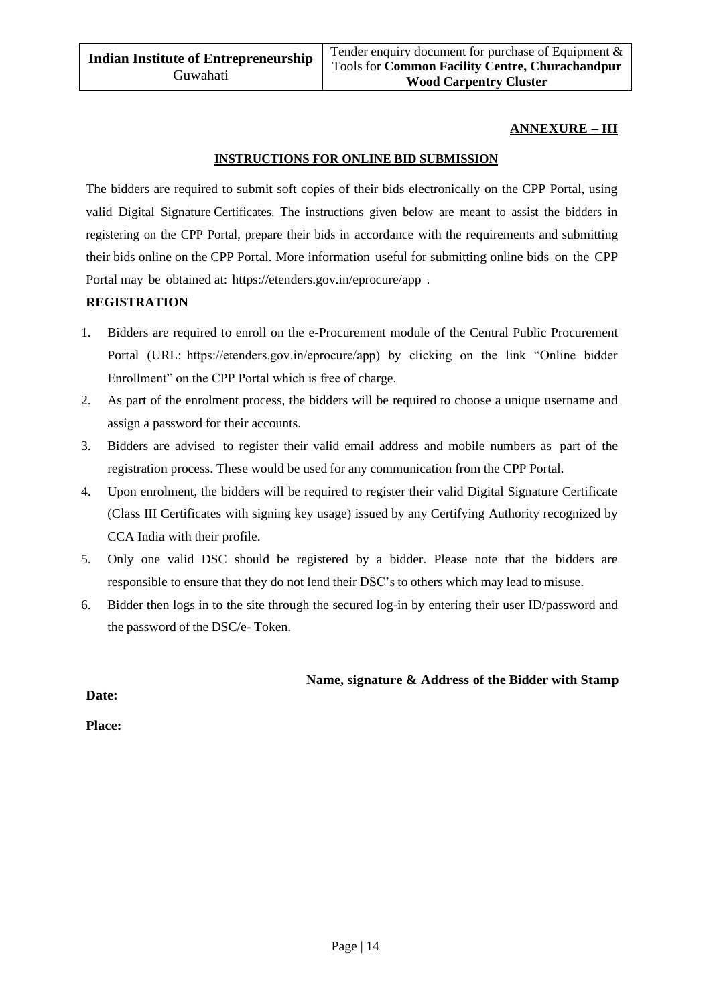#### **ANNEXURE – III**

#### **INSTRUCTIONS FOR ONLINE BID SUBMISSION**

The bidders are required to submit soft copies of their bids electronically on the CPP Portal, using valid Digital Signature Certificates. The instructions given below are meant to assist the bidders in registering on the CPP Portal, prepare their bids in accordance with the requirements and submitting their bids online on the CPP Portal. More information useful for submitting online bids on the CPP Portal may be obtained at: https://etenders.gov.in/eprocure/app .

#### **REGISTRATION**

- 1. Bidders are required to enroll on the e-Procurement module of the Central Public Procurement Portal (URL: https://etenders.gov.in/eprocure/app) by clicking on the link "Online bidder Enrollment" on the CPP Portal which is free of charge.
- 2. As part of the enrolment process, the bidders will be required to choose a unique username and assign a password for their accounts.
- 3. Bidders are advised to register their valid email address and mobile numbers as part of the registration process. These would be used for any communication from the CPP Portal.
- 4. Upon enrolment, the bidders will be required to register their valid Digital Signature Certificate (Class III Certificates with signing key usage) issued by any Certifying Authority recognized by CCA India with their profile.
- 5. Only one valid DSC should be registered by a bidder. Please note that the bidders are responsible to ensure that they do not lend their DSC's to others which may lead to misuse.
- 6. Bidder then logs in to the site through the secured log-in by entering their user ID/password and the password of the DSC/e- Token.

#### **Name, signature & Address of the Bidder with Stamp**

**Date:**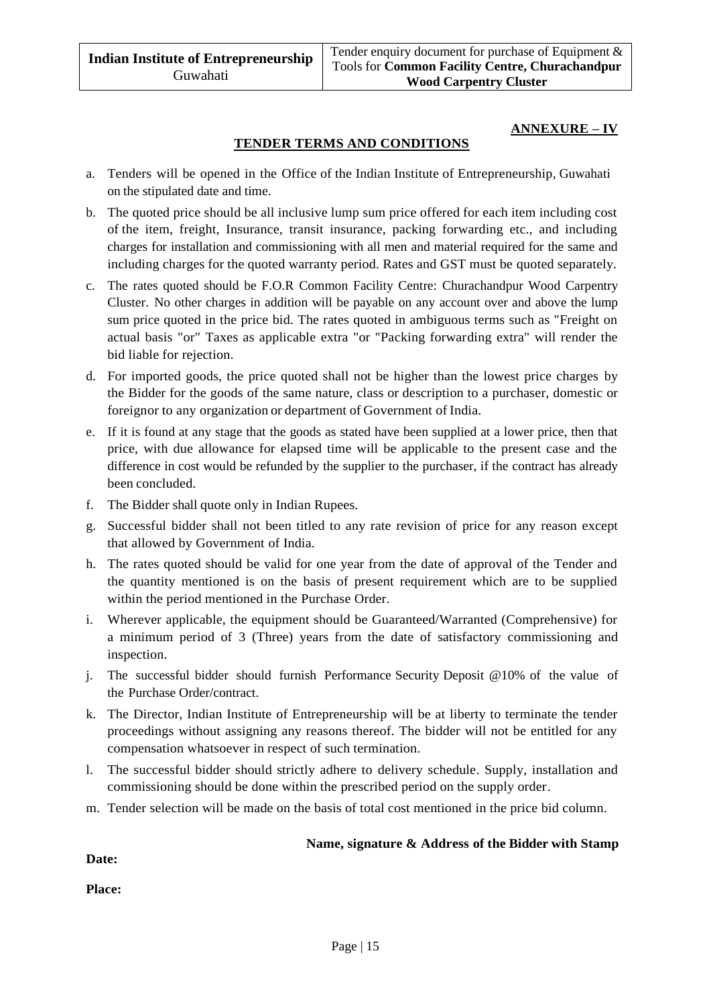#### **ANNEXURE – IV**

#### **TENDER TERMS AND CONDITIONS**

- a. Tenders will be opened in the Office of the Indian Institute of Entrepreneurship, Guwahati on the stipulated date and time.
- b. The quoted price should be all inclusive lump sum price offered for each item including cost of the item, freight, Insurance, transit insurance, packing forwarding etc., and including charges for installation and commissioning with all men and material required for the same and including charges for the quoted warranty period. Rates and GST must be quoted separately.
- c. The rates quoted should be F.O.R Common Facility Centre: Churachandpur Wood Carpentry Cluster. No other charges in addition will be payable on any account over and above the lump sum price quoted in the price bid. The rates quoted in ambiguous terms such as "Freight on actual basis "or" Taxes as applicable extra "or "Packing forwarding extra" will render the bid liable for rejection.
- d. For imported goods, the price quoted shall not be higher than the lowest price charges by the Bidder for the goods of the same nature, class or description to a purchaser, domestic or foreignor to any organization or department of Government of India.
- e. If it is found at any stage that the goods as stated have been supplied at a lower price, then that price, with due allowance for elapsed time will be applicable to the present case and the difference in cost would be refunded by the supplier to the purchaser, if the contract has already been concluded.
- f. The Bidder shall quote only in Indian Rupees.
- g. Successful bidder shall not been titled to any rate revision of price for any reason except that allowed by Government of India.
- h. The rates quoted should be valid for one year from the date of approval of the Tender and the quantity mentioned is on the basis of present requirement which are to be supplied within the period mentioned in the Purchase Order.
- i. Wherever applicable, the equipment should be Guaranteed/Warranted (Comprehensive) for a minimum period of 3 (Three) years from the date of satisfactory commissioning and inspection.
- j. The successful bidder should furnish Performance Security Deposit @10% of the value of the Purchase Order/contract.
- k. The Director, Indian Institute of Entrepreneurship will be at liberty to terminate the tender proceedings without assigning any reasons thereof. The bidder will not be entitled for any compensation whatsoever in respect of such termination.
- l. The successful bidder should strictly adhere to delivery schedule. Supply, installation and commissioning should be done within the prescribed period on the supply order.
- m. Tender selection will be made on the basis of total cost mentioned in the price bid column.

#### **Name, signature & Address of the Bidder with Stamp**

**Date:**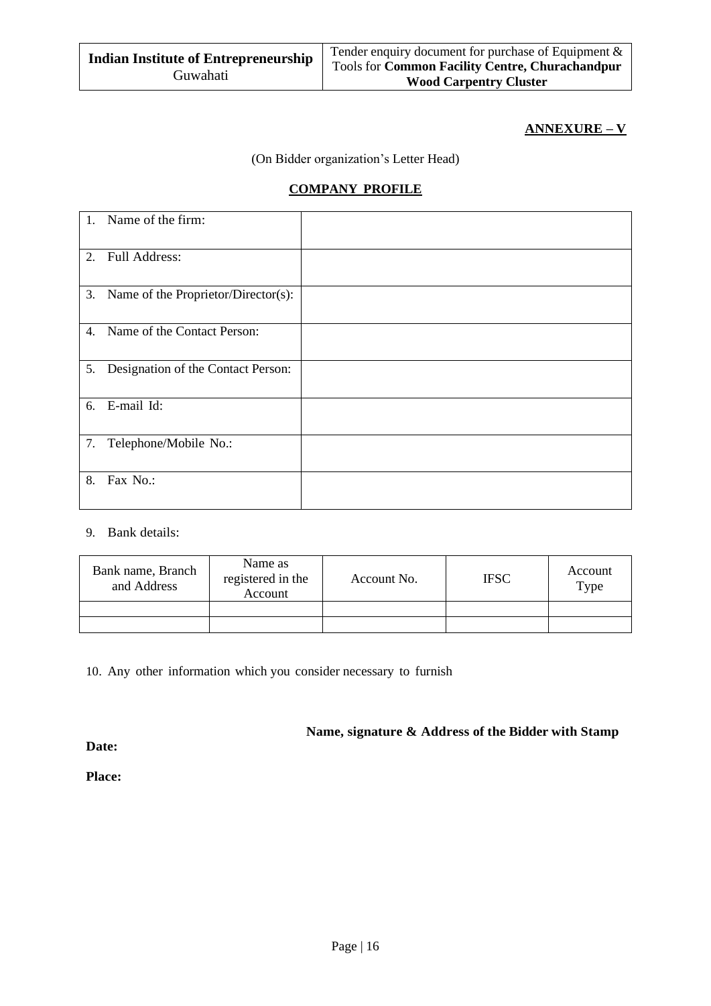#### **ANNEXURE – V**

(On Bidder organization's Letter Head)

## **COMPANY PROFILE**

|    | 1. Name of the firm:                   |  |
|----|----------------------------------------|--|
|    | 2. Full Address:                       |  |
|    | 3. Name of the Proprietor/Director(s): |  |
|    | 4. Name of the Contact Person:         |  |
|    | 5. Designation of the Contact Person:  |  |
|    | 6. E-mail Id:                          |  |
| 7. | Telephone/Mobile No.:                  |  |
| 8. | Fax No.:                               |  |

#### 9. Bank details:

| Bank name, Branch<br>and Address | Name as<br>registered in the<br>Account | Account No. | <b>IFSC</b> | Account<br>Type |
|----------------------------------|-----------------------------------------|-------------|-------------|-----------------|
|                                  |                                         |             |             |                 |
|                                  |                                         |             |             |                 |

10. Any other information which you consider necessary to furnish

**Name, signature & Address of the Bidder with Stamp**

**Date:**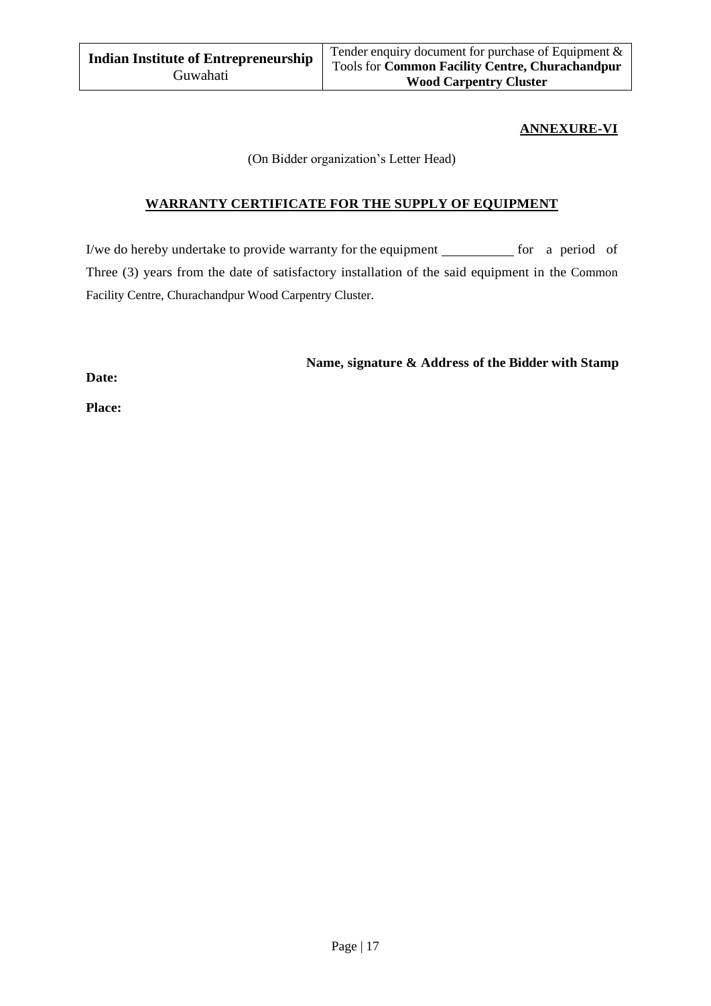### **ANNEXURE-VI**

(On Bidder organization's Letter Head)

## **WARRANTY CERTIFICATE FOR THE SUPPLY OF EQUIPMENT**

I/we do hereby undertake to provide warranty for the equipment  $f(x)$  for a period of Three (3) years from the date of satisfactory installation of the said equipment in the Common Facility Centre, Churachandpur Wood Carpentry Cluster.

**Name, signature & Address of the Bidder with Stamp**

**Date:**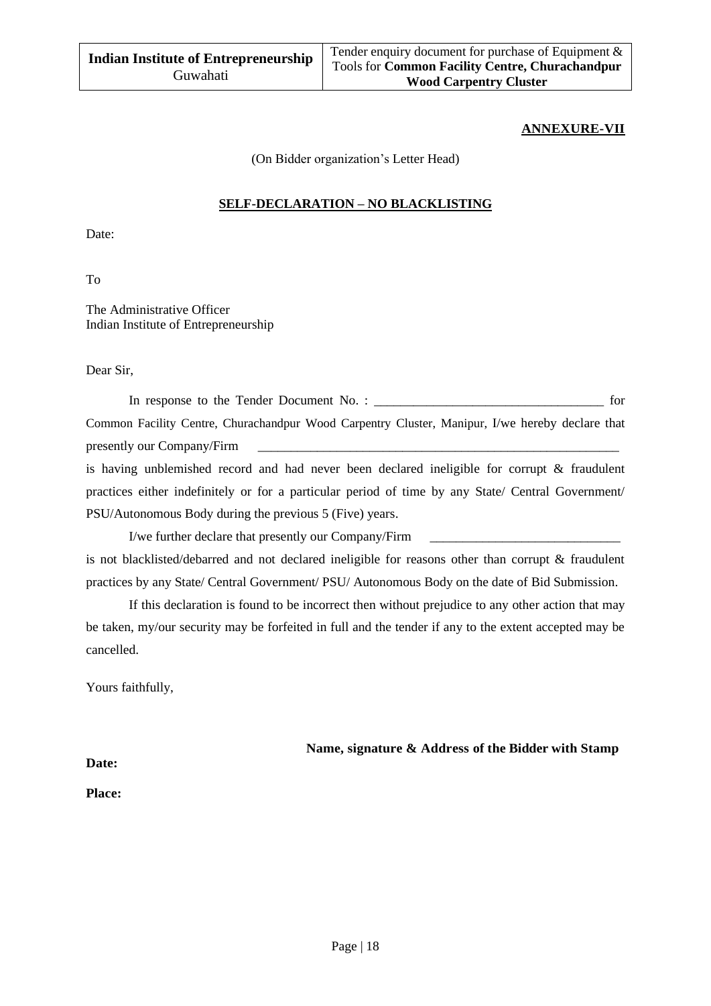#### **ANNEXURE-VII**

(On Bidder organization's Letter Head)

#### **SELF-DECLARATION – NO BLACKLISTING**

Date:

To

The Administrative Officer Indian Institute of Entrepreneurship

Dear Sir,

In response to the Tender Document No. : \_\_\_\_\_\_\_\_\_\_\_\_\_\_\_\_\_\_\_\_\_\_\_\_\_\_\_\_\_\_\_\_\_\_\_ for Common Facility Centre, Churachandpur Wood Carpentry Cluster, Manipur, I/we hereby declare that presently our Company/Firm is having unblemished record and had never been declared ineligible for corrupt & fraudulent practices either indefinitely or for a particular period of time by any State/ Central Government/ PSU/Autonomous Body during the previous 5 (Five) years.

I/we further declare that presently our Company/Firm \_\_\_\_\_\_\_\_\_\_\_\_\_\_\_\_\_\_\_\_\_\_\_\_\_\_\_\_\_ is not blacklisted/debarred and not declared ineligible for reasons other than corrupt & fraudulent practices by any State/ Central Government/ PSU/ Autonomous Body on the date of Bid Submission.

If this declaration is found to be incorrect then without prejudice to any other action that may be taken, my/our security may be forfeited in full and the tender if any to the extent accepted may be cancelled.

Yours faithfully,

**Name, signature & Address of the Bidder with Stamp**

**Date:**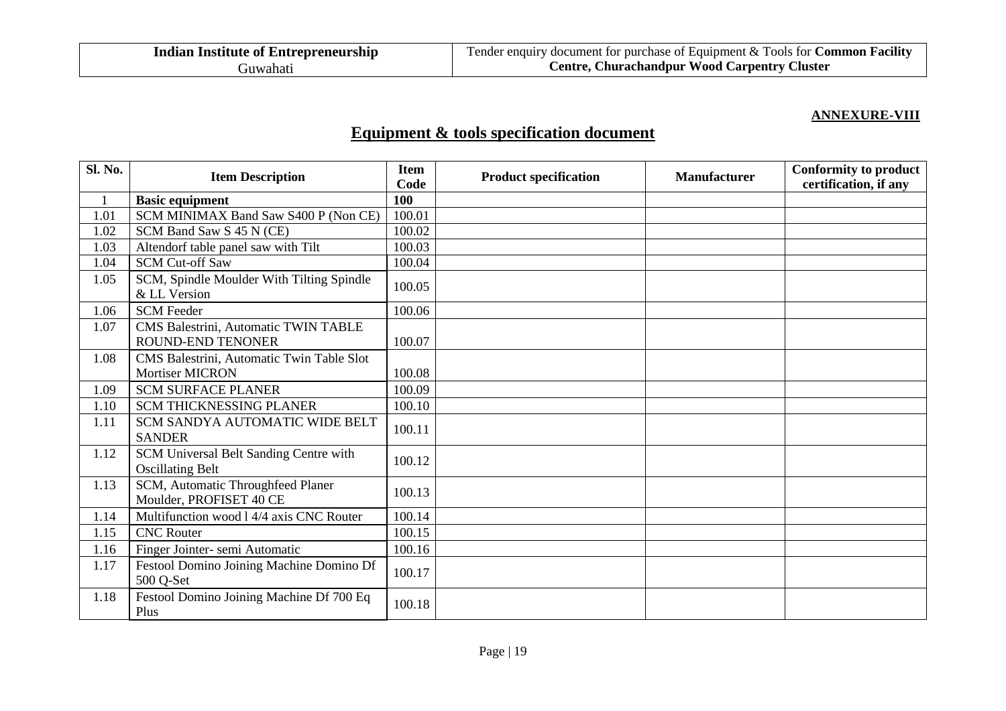### **ANNEXURE-VIII**

# **Equipment & tools specification document**

| Sl. No. | <b>Item Description</b>                                             | <b>Item</b><br>Code | <b>Product specification</b> | <b>Manufacturer</b> | <b>Conformity to product</b><br>certification, if any |
|---------|---------------------------------------------------------------------|---------------------|------------------------------|---------------------|-------------------------------------------------------|
|         | <b>Basic equipment</b>                                              | 100                 |                              |                     |                                                       |
| 1.01    | SCM MINIMAX Band Saw S400 P (Non CE)                                | 100.01              |                              |                     |                                                       |
| 1.02    | SCM Band Saw S 45 N (CE)                                            | 100.02              |                              |                     |                                                       |
| 1.03    | Altendorf table panel saw with Tilt                                 | 100.03              |                              |                     |                                                       |
| 1.04    | <b>SCM Cut-off Saw</b>                                              | 100.04              |                              |                     |                                                       |
| 1.05    | SCM, Spindle Moulder With Tilting Spindle<br>& LL Version           | 100.05              |                              |                     |                                                       |
| 1.06    | <b>SCM</b> Feeder                                                   | 100.06              |                              |                     |                                                       |
| 1.07    | CMS Balestrini, Automatic TWIN TABLE<br><b>ROUND-END TENONER</b>    | 100.07              |                              |                     |                                                       |
| 1.08    | CMS Balestrini, Automatic Twin Table Slot<br><b>Mortiser MICRON</b> | 100.08              |                              |                     |                                                       |
| 1.09    | <b>SCM SURFACE PLANER</b>                                           | 100.09              |                              |                     |                                                       |
| 1.10    | <b>SCM THICKNESSING PLANER</b>                                      | 100.10              |                              |                     |                                                       |
| 1.11    | SCM SANDYA AUTOMATIC WIDE BELT<br><b>SANDER</b>                     | 100.11              |                              |                     |                                                       |
| 1.12    | SCM Universal Belt Sanding Centre with<br><b>Oscillating Belt</b>   | 100.12              |                              |                     |                                                       |
| 1.13    | SCM, Automatic Throughfeed Planer<br>Moulder, PROFISET 40 CE        | 100.13              |                              |                     |                                                       |
| 1.14    | Multifunction wood 1 4/4 axis CNC Router                            | 100.14              |                              |                     |                                                       |
| 1.15    | <b>CNC</b> Router                                                   | 100.15              |                              |                     |                                                       |
| 1.16    | Finger Jointer-semi Automatic                                       | 100.16              |                              |                     |                                                       |
| 1.17    | Festool Domino Joining Machine Domino Df<br>500 Q-Set               | 100.17              |                              |                     |                                                       |
| 1.18    | Festool Domino Joining Machine Df 700 Eq<br>Plus                    | 100.18              |                              |                     |                                                       |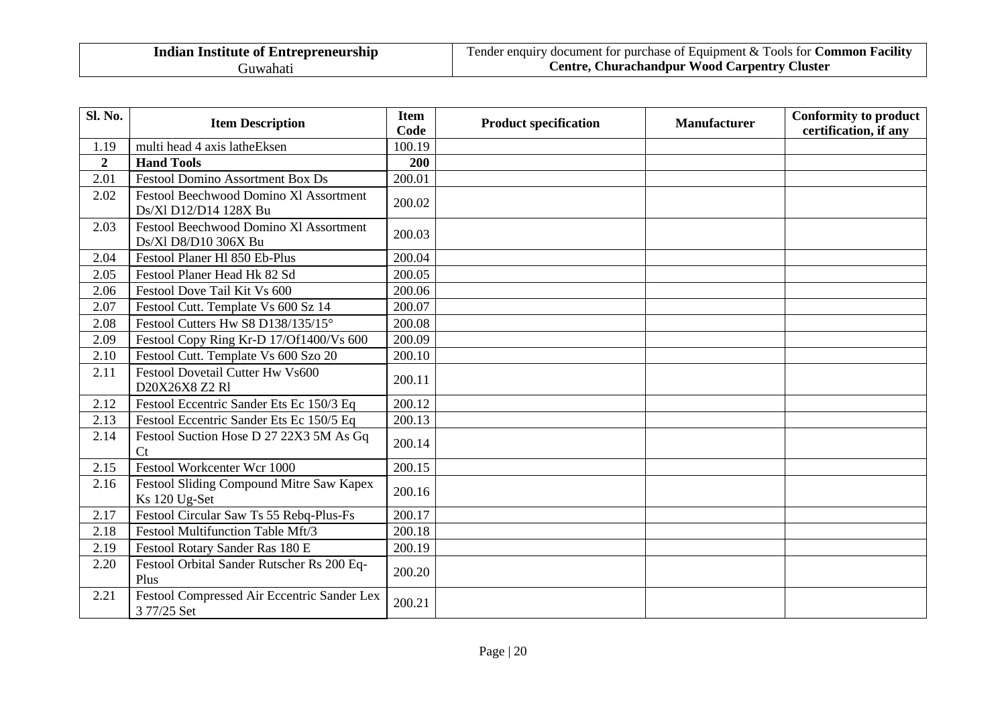| Sl. No.        | <b>Item Description</b>                                         | <b>Item</b><br>Code | <b>Product specification</b> | <b>Manufacturer</b> | <b>Conformity to product</b><br>certification, if any |
|----------------|-----------------------------------------------------------------|---------------------|------------------------------|---------------------|-------------------------------------------------------|
| 1.19           | multi head 4 axis latheEksen                                    | 100.19              |                              |                     |                                                       |
| $\overline{2}$ | <b>Hand Tools</b>                                               | 200                 |                              |                     |                                                       |
| 2.01           | <b>Festool Domino Assortment Box Ds</b>                         | 200.01              |                              |                     |                                                       |
| 2.02           | Festool Beechwood Domino Xl Assortment<br>Ds/Xl D12/D14 128X Bu | 200.02              |                              |                     |                                                       |
| 2.03           | Festool Beechwood Domino Xl Assortment<br>Ds/Xl D8/D10 306X Bu  | 200.03              |                              |                     |                                                       |
| 2.04           | Festool Planer Hl 850 Eb-Plus                                   | 200.04              |                              |                     |                                                       |
| 2.05           | Festool Planer Head Hk 82 Sd                                    | 200.05              |                              |                     |                                                       |
| 2.06           | Festool Dove Tail Kit Vs 600                                    | 200.06              |                              |                     |                                                       |
| 2.07           | Festool Cutt. Template Vs 600 Sz 14                             | 200.07              |                              |                     |                                                       |
| 2.08           | Festool Cutters Hw S8 D138/135/15°                              | 200.08              |                              |                     |                                                       |
| 2.09           | Festool Copy Ring Kr-D 17/Of1400/Vs 600                         | 200.09              |                              |                     |                                                       |
| 2.10           | Festool Cutt. Template Vs 600 Szo 20                            | 200.10              |                              |                     |                                                       |
| 2.11           | Festool Dovetail Cutter Hw Vs600<br>D20X26X8 Z2 R1              | 200.11              |                              |                     |                                                       |
| 2.12           | Festool Eccentric Sander Ets Ec 150/3 Eq                        | 200.12              |                              |                     |                                                       |
| 2.13           | Festool Eccentric Sander Ets Ec 150/5 Eq                        | 200.13              |                              |                     |                                                       |
| 2.14           | Festool Suction Hose D 27 22X3 5M As Gq<br>C <sub>t</sub>       | 200.14              |                              |                     |                                                       |
| 2.15           | Festool Workcenter Wcr 1000                                     | 200.15              |                              |                     |                                                       |
| 2.16           | Festool Sliding Compound Mitre Saw Kapex<br>Ks 120 Ug-Set       | 200.16              |                              |                     |                                                       |
| 2.17           | Festool Circular Saw Ts 55 Rebq-Plus-Fs                         | 200.17              |                              |                     |                                                       |
| 2.18           | Festool Multifunction Table Mft/3                               | 200.18              |                              |                     |                                                       |
| 2.19           | Festool Rotary Sander Ras 180 E                                 | 200.19              |                              |                     |                                                       |
| 2.20           | Festool Orbital Sander Rutscher Rs 200 Eq-<br>Plus              | 200.20              |                              |                     |                                                       |
| 2.21           | Festool Compressed Air Eccentric Sander Lex<br>3 77/25 Set      | 200.21              |                              |                     |                                                       |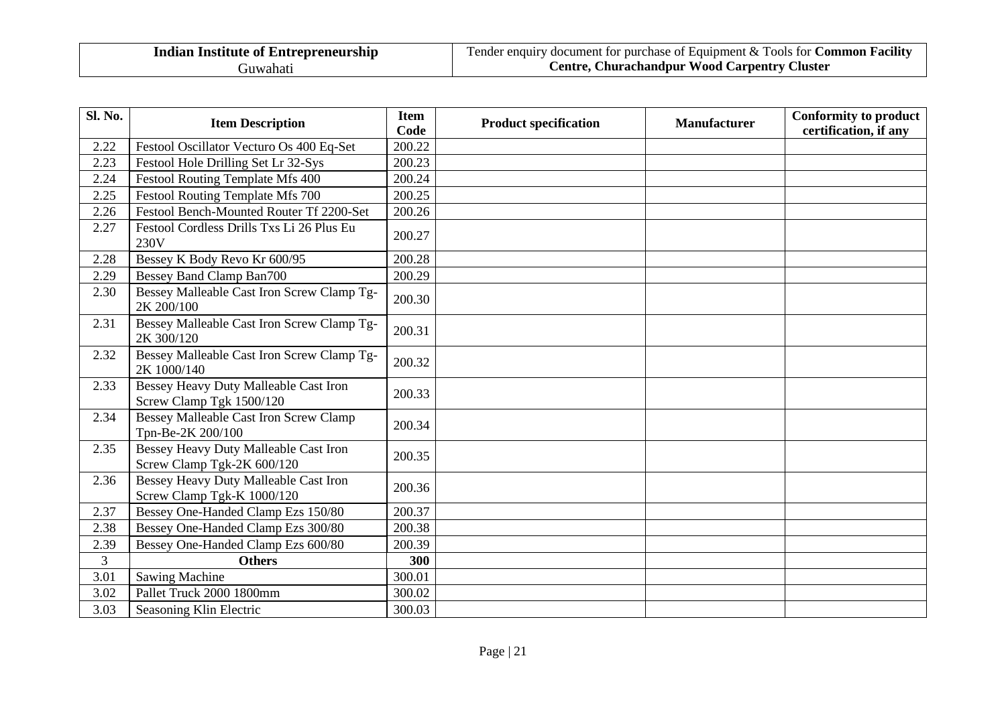| <b>Indian Institute of Entrepreneurship</b> |
|---------------------------------------------|
| Guwahati                                    |

| Sl. No. | <b>Item Description</b>                                             | <b>Item</b><br>Code | <b>Product specification</b> | <b>Manufacturer</b> | <b>Conformity to product</b><br>certification, if any |
|---------|---------------------------------------------------------------------|---------------------|------------------------------|---------------------|-------------------------------------------------------|
| 2.22    | Festool Oscillator Vecturo Os 400 Eq-Set                            | 200.22              |                              |                     |                                                       |
| 2.23    | Festool Hole Drilling Set Lr 32-Sys                                 | 200.23              |                              |                     |                                                       |
| 2.24    | <b>Festool Routing Template Mfs 400</b>                             | 200.24              |                              |                     |                                                       |
| 2.25    | Festool Routing Template Mfs 700                                    | 200.25              |                              |                     |                                                       |
| 2.26    | Festool Bench-Mounted Router Tf 2200-Set                            | 200.26              |                              |                     |                                                       |
| 2.27    | Festool Cordless Drills Txs Li 26 Plus Eu<br>230V                   | 200.27              |                              |                     |                                                       |
| 2.28    | Bessey K Body Revo Kr 600/95                                        | 200.28              |                              |                     |                                                       |
| 2.29    | <b>Bessey Band Clamp Ban700</b>                                     | 200.29              |                              |                     |                                                       |
| 2.30    | Bessey Malleable Cast Iron Screw Clamp Tg-<br>2K 200/100            | 200.30              |                              |                     |                                                       |
| 2.31    | Bessey Malleable Cast Iron Screw Clamp Tg-<br>2K 300/120            | 200.31              |                              |                     |                                                       |
| 2.32    | Bessey Malleable Cast Iron Screw Clamp Tg-<br>2K 1000/140           | 200.32              |                              |                     |                                                       |
| 2.33    | Bessey Heavy Duty Malleable Cast Iron<br>Screw Clamp Tgk 1500/120   | 200.33              |                              |                     |                                                       |
| 2.34    | Bessey Malleable Cast Iron Screw Clamp<br>Tpn-Be-2K 200/100         | 200.34              |                              |                     |                                                       |
| 2.35    | Bessey Heavy Duty Malleable Cast Iron<br>Screw Clamp Tgk-2K 600/120 | 200.35              |                              |                     |                                                       |
| 2.36    | Bessey Heavy Duty Malleable Cast Iron<br>Screw Clamp Tgk-K 1000/120 | 200.36              |                              |                     |                                                       |
| 2.37    | Bessey One-Handed Clamp Ezs 150/80                                  | 200.37              |                              |                     |                                                       |
| 2.38    | Bessey One-Handed Clamp Ezs 300/80                                  | 200.38              |                              |                     |                                                       |
| 2.39    | Bessey One-Handed Clamp Ezs 600/80                                  | 200.39              |                              |                     |                                                       |
| 3       | <b>Others</b>                                                       | 300                 |                              |                     |                                                       |
| 3.01    | <b>Sawing Machine</b>                                               | 300.01              |                              |                     |                                                       |
| 3.02    | Pallet Truck 2000 1800mm                                            | 300.02              |                              |                     |                                                       |
| 3.03    | Seasoning Klin Electric                                             | 300.03              |                              |                     |                                                       |